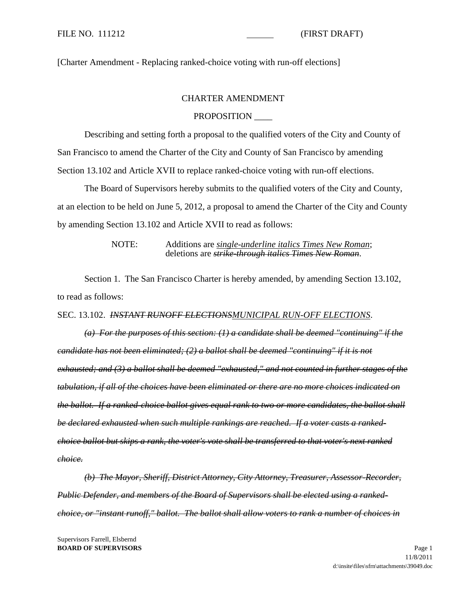[Charter Amendment - Replacing ranked-choice voting with run-off elections]

## CHARTER AMENDMENT

## PROPOSITION \_\_\_\_

Describing and setting forth a proposal to the qualified voters of the City and County of San Francisco to amend the Charter of the City and County of San Francisco by amending Section 13.102 and Article XVII to replace ranked-choice voting with run-off elections.

The Board of Supervisors hereby submits to the qualified voters of the City and County, at an election to be held on June 5, 2012, a proposal to amend the Charter of the City and County by amending Section 13.102 and Article XVII to read as follows:

> NOTE: Additions are *single-underline italics Times New Roman*; deletions are *strike-through italics Times New Roman*.

Section 1. The San Francisco Charter is hereby amended, by amending Section 13.102, to read as follows:

## SEC. 13.102. *INSTANT RUNOFF ELECTIONSMUNICIPAL RUN-OFF ELECTIONS*.

*(a) For the purposes of this section: (1) a candidate shall be deemed "continuing" if the candidate has not been eliminated; (2) a ballot shall be deemed "continuing" if it is not exhausted; and (3) a ballot shall be deemed "exhausted," and not counted in further stages of the tabulation, if all of the choices have been eliminated or there are no more choices indicated on the ballot. If a ranked-choice ballot gives equal rank to two or more candidates, the ballot shall be declared exhausted when such multiple rankings are reached. If a voter casts a rankedchoice ballot but skips a rank, the voter's vote shall be transferred to that voter's next ranked choice.* 

*(b) The Mayor, Sheriff, District Attorney, City Attorney, Treasurer, Assessor-Recorder, Public Defender, and members of the Board of Supervisors shall be elected using a rankedchoice, or "instant runoff," ballot. The ballot shall allow voters to rank a number of choices in*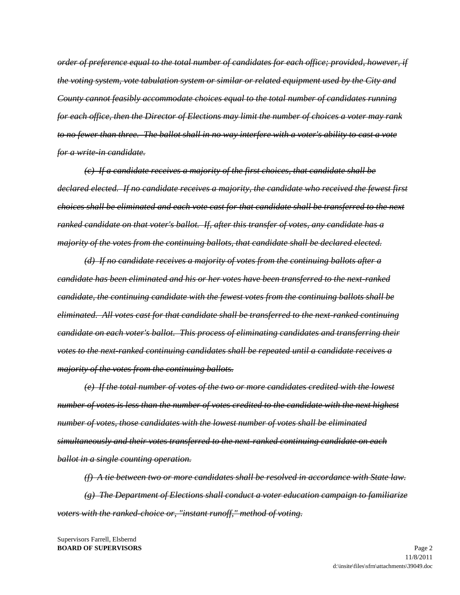*order of preference equal to the total number of candidates for each office; provided, however, if the voting system, vote tabulation system or similar or related equipment used by the City and County cannot feasibly accommodate choices equal to the total number of candidates running for each office, then the Director of Elections may limit the number of choices a voter may rank to no fewer than three. The ballot shall in no way interfere with a voter's ability to cast a vote for a write-in candidate.* 

*(c) If a candidate receives a majority of the first choices, that candidate shall be declared elected. If no candidate receives a majority, the candidate who received the fewest first choices shall be eliminated and each vote cast for that candidate shall be transferred to the next ranked candidate on that voter's ballot. If, after this transfer of votes, any candidate has a majority of the votes from the continuing ballots, that candidate shall be declared elected.* 

*(d) If no candidate receives a majority of votes from the continuing ballots after a candidate has been eliminated and his or her votes have been transferred to the next-ranked candidate, the continuing candidate with the fewest votes from the continuing ballots shall be eliminated. All votes cast for that candidate shall be transferred to the next-ranked continuing candidate on each voter's ballot. This process of eliminating candidates and transferring their votes to the next-ranked continuing candidates shall be repeated until a candidate receives a majority of the votes from the continuing ballots.* 

*(e) If the total number of votes of the two or more candidates credited with the lowest number of votes is less than the number of votes credited to the candidate with the next highest number of votes, those candidates with the lowest number of votes shall be eliminated simultaneously and their votes transferred to the next-ranked continuing candidate on each ballot in a single counting operation.* 

*(f) A tie between two or more candidates shall be resolved in accordance with State law. (g) The Department of Elections shall conduct a voter education campaign to familiarize voters with the ranked-choice or, "instant runoff," method of voting.*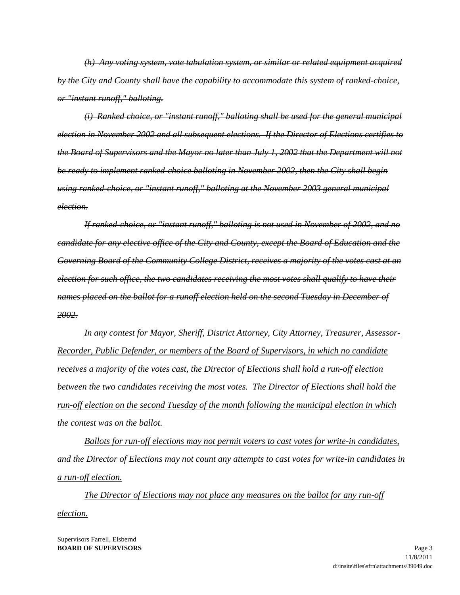*(h) Any voting system, vote tabulation system, or similar or related equipment acquired by the City and County shall have the capability to accommodate this system of ranked-choice, or "instant runoff," balloting.* 

*(i) Ranked choice, or "instant runoff," balloting shall be used for the general municipal election in November 2002 and all subsequent elections. If the Director of Elections certifies to the Board of Supervisors and the Mayor no later than July 1, 2002 that the Department will not be ready to implement ranked-choice balloting in November 2002, then the City shall begin using ranked-choice, or "instant runoff," balloting at the November 2003 general municipal election.* 

*If ranked-choice, or "instant runoff," balloting is not used in November of 2002, and no candidate for any elective office of the City and County, except the Board of Education and the Governing Board of the Community College District, receives a majority of the votes cast at an election for such office, the two candidates receiving the most votes shall qualify to have their names placed on the ballot for a runoff election held on the second Tuesday in December of 2002.*

*In any contest for Mayor, Sheriff, District Attorney, City Attorney, Treasurer, Assessor-Recorder, Public Defender, or members of the Board of Supervisors, in which no candidate receives a majority of the votes cast, the Director of Elections shall hold a run-off election between the two candidates receiving the most votes. The Director of Elections shall hold the run-off election on the second Tuesday of the month following the municipal election in which the contest was on the ballot.*

*Ballots for run-off elections may not permit voters to cast votes for write-in candidates, and the Director of Elections may not count any attempts to cast votes for write-in candidates in a run-off election.*

*The Director of Elections may not place any measures on the ballot for any run-off election.*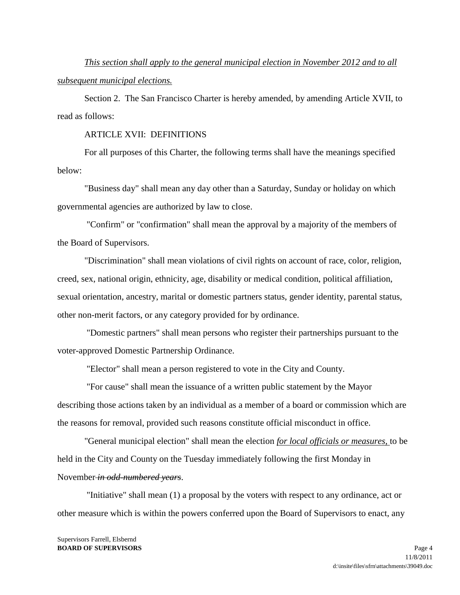*This section shall apply to the general municipal election in November 2012 and to all subsequent municipal elections.*

Section 2. The San Francisco Charter is hereby amended, by amending Article XVII, to read as follows:

#### ARTICLE XVII: DEFINITIONS

For all purposes of this Charter, the following terms shall have the meanings specified below:

"Business day" shall mean any day other than a Saturday, Sunday or holiday on which governmental agencies are authorized by law to close.

"Confirm" or "confirmation" shall mean the approval by a majority of the members of the Board of Supervisors.

"Discrimination" shall mean violations of civil rights on account of race, color, religion, creed, sex, national origin, ethnicity, age, disability or medical condition, political affiliation, sexual orientation, ancestry, marital or domestic partners status, gender identity, parental status, other non-merit factors, or any category provided for by ordinance.

"Domestic partners" shall mean persons who register their partnerships pursuant to the voter-approved Domestic Partnership Ordinance.

"Elector" shall mean a person registered to vote in the City and County.

"For cause" shall mean the issuance of a written public statement by the Mayor describing those actions taken by an individual as a member of a board or commission which are the reasons for removal, provided such reasons constitute official misconduct in office.

"General municipal election" shall mean the election *for local officials or measures,* to be held in the City and County on the Tuesday immediately following the first Monday in November *in odd-numbered years*.

"Initiative" shall mean (1) a proposal by the voters with respect to any ordinance, act or other measure which is within the powers conferred upon the Board of Supervisors to enact, any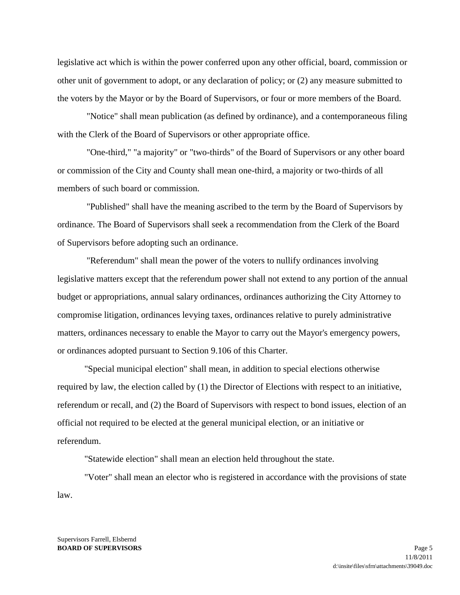legislative act which is within the power conferred upon any other official, board, commission or other unit of government to adopt, or any declaration of policy; or (2) any measure submitted to the voters by the Mayor or by the Board of Supervisors, or four or more members of the Board.

"Notice" shall mean publication (as defined by ordinance), and a contemporaneous filing with the Clerk of the Board of Supervisors or other appropriate office.

"One-third," "a majority" or "two-thirds" of the Board of Supervisors or any other board or commission of the City and County shall mean one-third, a majority or two-thirds of all members of such board or commission.

"Published" shall have the meaning ascribed to the term by the Board of Supervisors by ordinance. The Board of Supervisors shall seek a recommendation from the Clerk of the Board of Supervisors before adopting such an ordinance.

"Referendum" shall mean the power of the voters to nullify ordinances involving legislative matters except that the referendum power shall not extend to any portion of the annual budget or appropriations, annual salary ordinances, ordinances authorizing the City Attorney to compromise litigation, ordinances levying taxes, ordinances relative to purely administrative matters, ordinances necessary to enable the Mayor to carry out the Mayor's emergency powers, or ordinances adopted pursuant to Section 9.106 of this Charter.

"Special municipal election" shall mean, in addition to special elections otherwise required by law, the election called by (1) the Director of Elections with respect to an initiative, referendum or recall, and (2) the Board of Supervisors with respect to bond issues, election of an official not required to be elected at the general municipal election, or an initiative or referendum.

"Statewide election" shall mean an election held throughout the state.

"Voter" shall mean an elector who is registered in accordance with the provisions of state law.